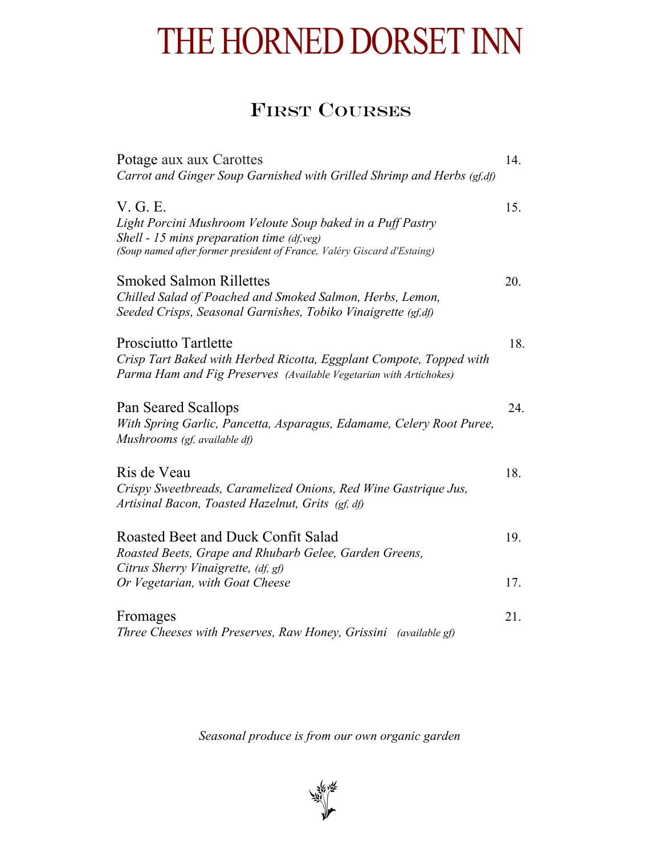## THE HORNED DORSET INN

## FIRST COURSES

| Potage aux aux Carottes                                                                                                                                                                           | 14. |
|---------------------------------------------------------------------------------------------------------------------------------------------------------------------------------------------------|-----|
| Carrot and Ginger Soup Garnished with Grilled Shrimp and Herbs (gf,df)                                                                                                                            |     |
| V. G. E.<br>Light Porcini Mushroom Veloute Soup baked in a Puff Pastry<br>Shell - 15 mins preparation time $(df, veg)$<br>(Soup named after former president of France, Valéry Giscard d'Estaing) | 15. |
| <b>Smoked Salmon Rillettes</b><br>Chilled Salad of Poached and Smoked Salmon, Herbs, Lemon,<br>Seeded Crisps, Seasonal Garnishes, Tobiko Vinaigrette (gf,df)                                      | 20. |
| <b>Prosciutto Tartlette</b><br>Crisp Tart Baked with Herbed Ricotta, Eggplant Compote, Topped with<br>Parma Ham and Fig Preserves (Available Vegetarian with Artichokes)                          | 18. |
| Pan Seared Scallops<br>With Spring Garlic, Pancetta, Asparagus, Edamame, Celery Root Puree,<br>Mushrooms (gf, available df)                                                                       | 24. |
| Ris de Veau<br>Crispy Sweetbreads, Caramelized Onions, Red Wine Gastrique Jus,<br>Artisinal Bacon, Toasted Hazelnut, Grits (gf, df)                                                               | 18. |
| Roasted Beet and Duck Confit Salad<br>Roasted Beets, Grape and Rhubarb Gelee, Garden Greens,<br>Citrus Sherry Vinaigrette, (df, gf)                                                               | 19. |
| Or Vegetarian, with Goat Cheese                                                                                                                                                                   | 17. |
| Fromages<br>Three Cheeses with Preserves, Raw Honey, Grissini (available gf)                                                                                                                      | 21. |

*Seasonal produce is from our own organic garden*